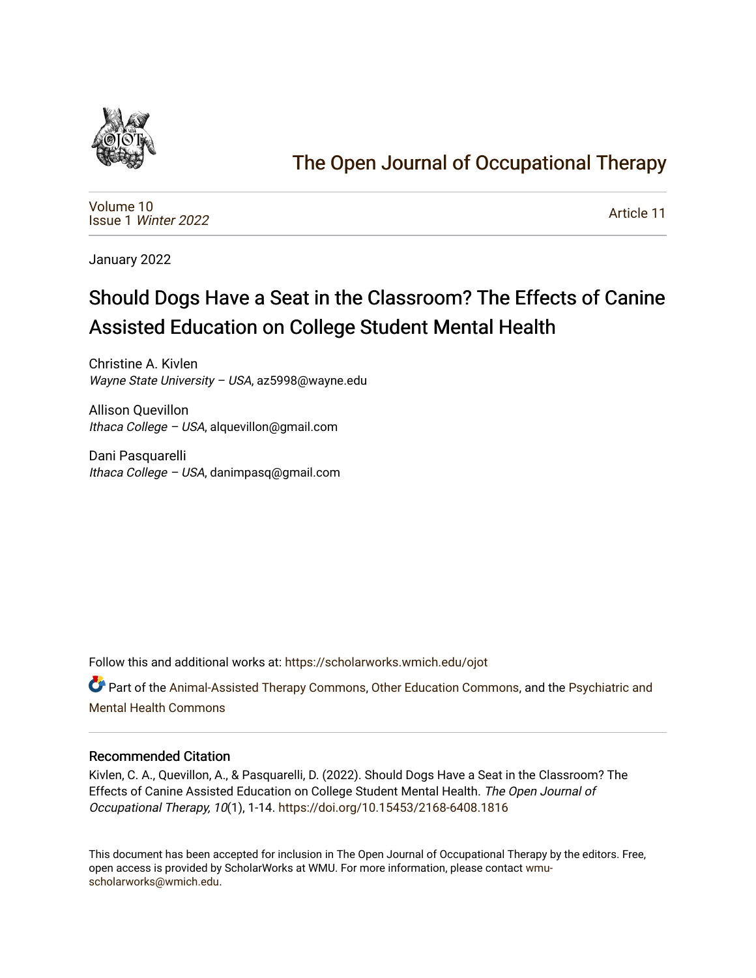

# [The Open Journal of Occupational Therapy](https://scholarworks.wmich.edu/ojot)

[Volume 10](https://scholarworks.wmich.edu/ojot/vol10) Issue 1 [Winter 2022](https://scholarworks.wmich.edu/ojot/vol10/iss1) 

[Article 11](https://scholarworks.wmich.edu/ojot/vol10/iss1/11) 

January 2022

# Should Dogs Have a Seat in the Classroom? The Effects of Canine Assisted Education on College Student Mental Health

Christine A. Kivlen Wayne State University – USA, az5998@wayne.edu

Allison Quevillon Ithaca College – USA, alquevillon@gmail.com

Dani Pasquarelli Ithaca College – USA, danimpasq@gmail.com

Follow this and additional works at: [https://scholarworks.wmich.edu/ojot](https://scholarworks.wmich.edu/ojot?utm_source=scholarworks.wmich.edu%2Fojot%2Fvol10%2Fiss1%2F11&utm_medium=PDF&utm_campaign=PDFCoverPages)

Part of the [Animal-Assisted Therapy Commons](http://network.bepress.com/hgg/discipline/1304?utm_source=scholarworks.wmich.edu%2Fojot%2Fvol10%2Fiss1%2F11&utm_medium=PDF&utm_campaign=PDFCoverPages), [Other Education Commons,](http://network.bepress.com/hgg/discipline/811?utm_source=scholarworks.wmich.edu%2Fojot%2Fvol10%2Fiss1%2F11&utm_medium=PDF&utm_campaign=PDFCoverPages) and the Psychiatric and [Mental Health Commons](http://network.bepress.com/hgg/discipline/711?utm_source=scholarworks.wmich.edu%2Fojot%2Fvol10%2Fiss1%2F11&utm_medium=PDF&utm_campaign=PDFCoverPages) 

#### Recommended Citation

Kivlen, C. A., Quevillon, A., & Pasquarelli, D. (2022). Should Dogs Have a Seat in the Classroom? The Effects of Canine Assisted Education on College Student Mental Health. The Open Journal of Occupational Therapy, 10(1), 1-14. <https://doi.org/10.15453/2168-6408.1816>

This document has been accepted for inclusion in The Open Journal of Occupational Therapy by the editors. Free, open access is provided by ScholarWorks at WMU. For more information, please contact [wmu](mailto:wmu-scholarworks@wmich.edu)[scholarworks@wmich.edu.](mailto:wmu-scholarworks@wmich.edu)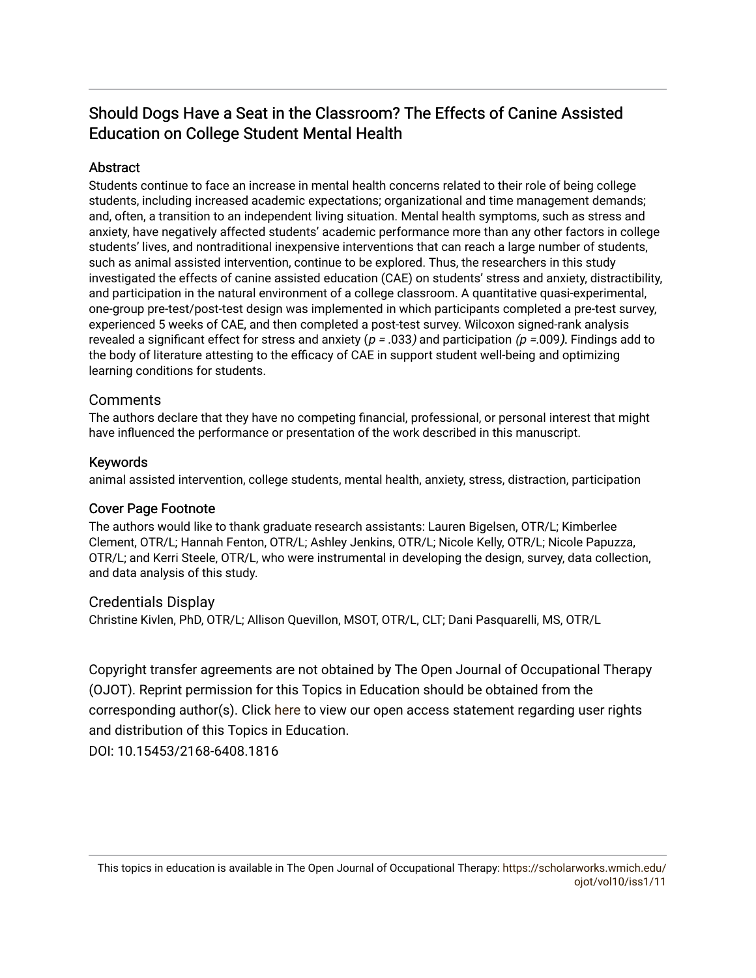# Should Dogs Have a Seat in the Classroom? The Effects of Canine Assisted Education on College Student Mental Health

# Abstract

Students continue to face an increase in mental health concerns related to their role of being college students, including increased academic expectations; organizational and time management demands; and, often, a transition to an independent living situation. Mental health symptoms, such as stress and anxiety, have negatively affected students' academic performance more than any other factors in college students' lives, and nontraditional inexpensive interventions that can reach a large number of students, such as animal assisted intervention, continue to be explored. Thus, the researchers in this study investigated the effects of canine assisted education (CAE) on students' stress and anxiety, distractibility, and participation in the natural environment of a college classroom. A quantitative quasi-experimental, one-group pre-test/post-test design was implemented in which participants completed a pre-test survey, experienced 5 weeks of CAE, and then completed a post-test survey. Wilcoxon signed-rank analysis revealed a significant effect for stress and anxiety ( $p = .033$ ) and participation ( $p = .009$ ). Findings add to the body of literature attesting to the efficacy of CAE in support student well-being and optimizing learning conditions for students.

# **Comments**

The authors declare that they have no competing financial, professional, or personal interest that might have influenced the performance or presentation of the work described in this manuscript.

# Keywords

animal assisted intervention, college students, mental health, anxiety, stress, distraction, participation

# Cover Page Footnote

The authors would like to thank graduate research assistants: Lauren Bigelsen, OTR/L; Kimberlee Clement, OTR/L; Hannah Fenton, OTR/L; Ashley Jenkins, OTR/L; Nicole Kelly, OTR/L; Nicole Papuzza, OTR/L; and Kerri Steele, OTR/L, who were instrumental in developing the design, survey, data collection, and data analysis of this study.

# Credentials Display

Christine Kivlen, PhD, OTR/L; Allison Quevillon, MSOT, OTR/L, CLT; Dani Pasquarelli, MS, OTR/L

Copyright transfer agreements are not obtained by The Open Journal of Occupational Therapy (OJOT). Reprint permission for this Topics in Education should be obtained from the corresponding author(s). Click [here](https://scholarworks.wmich.edu/ojot/policies.html#rights) to view our open access statement regarding user rights and distribution of this Topics in Education.

DOI: 10.15453/2168-6408.1816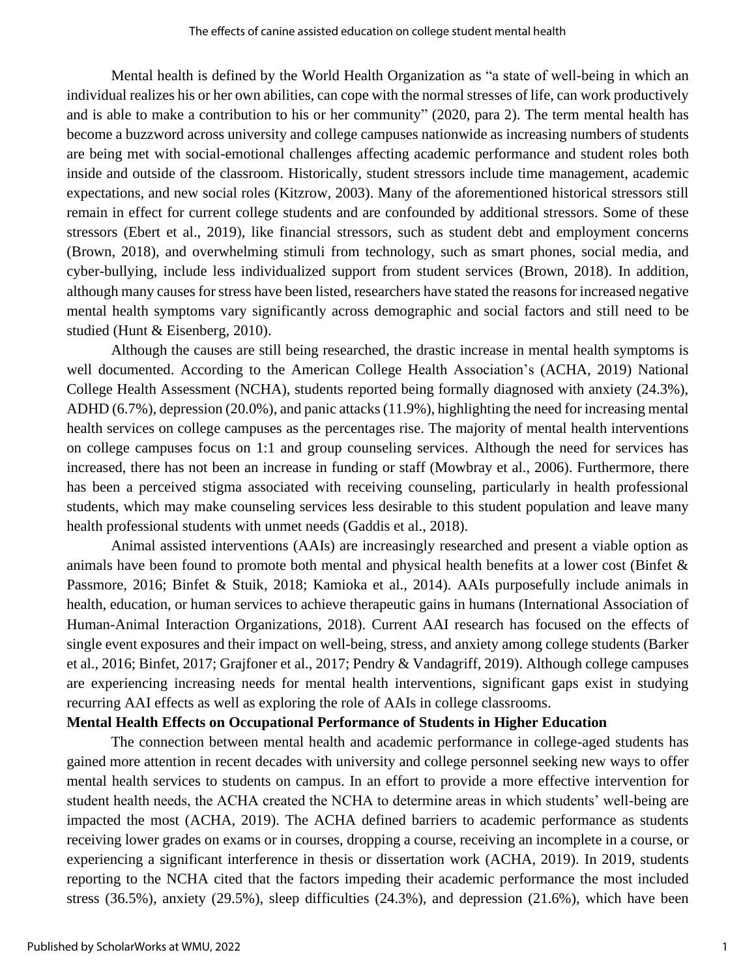Mental health is defined by the World Health Organization as "a state of well-being in which an individual realizes his or her own abilities, can cope with the normal stresses of life, can work productively and is able to make a contribution to his or her community" (2020, para 2). The term mental health has become a buzzword across university and college campuses nationwide as increasing numbers of students are being met with social-emotional challenges affecting academic performance and student roles both inside and outside of the classroom. Historically, student stressors include time management, academic expectations, and new social roles (Kitzrow, 2003). Many of the aforementioned historical stressors still remain in effect for current college students and are confounded by additional stressors. Some of these stressors (Ebert et al., 2019), like financial stressors, such as student debt and employment concerns (Brown, 2018), and overwhelming stimuli from technology, such as smart phones, social media, and cyber-bullying, include less individualized support from student services (Brown, 2018). In addition, although many causes for stress have been listed, researchers have stated the reasons for increased negative mental health symptoms vary significantly across demographic and social factors and still need to be studied (Hunt & Eisenberg, 2010).

Although the causes are still being researched, the drastic increase in mental health symptoms is well documented. According to the American College Health Association's (ACHA, 2019) National College Health Assessment (NCHA), students reported being formally diagnosed with anxiety (24.3%), ADHD (6.7%), depression (20.0%), and panic attacks (11.9%), highlighting the need for increasing mental health services on college campuses as the percentages rise. The majority of mental health interventions on college campuses focus on 1:1 and group counseling services. Although the need for services has increased, there has not been an increase in funding or staff (Mowbray et al., 2006). Furthermore, there has been a perceived stigma associated with receiving counseling, particularly in health professional students, which may make counseling services less desirable to this student population and leave many health professional students with unmet needs (Gaddis et al., 2018).

Animal assisted interventions (AAIs) are increasingly researched and present a viable option as animals have been found to promote both mental and physical health benefits at a lower cost (Binfet & Passmore, 2016; Binfet & Stuik, 2018; Kamioka et al., 2014). AAIs purposefully include animals in health, education, or human services to achieve therapeutic gains in humans (International Association of Human-Animal Interaction Organizations, 2018). Current AAI research has focused on the effects of single event exposures and their impact on well-being, stress, and anxiety among college students (Barker et al., 2016; Binfet, 2017; Grajfoner et al., 2017; Pendry & Vandagriff, 2019). Although college campuses are experiencing increasing needs for mental health interventions, significant gaps exist in studying recurring AAI effects as well as exploring the role of AAIs in college classrooms.

## **Mental Health Effects on Occupational Performance of Students in Higher Education**

The connection between mental health and academic performance in college-aged students has gained more attention in recent decades with university and college personnel seeking new ways to offer mental health services to students on campus. In an effort to provide a more effective intervention for student health needs, the ACHA created the NCHA to determine areas in which students' well-being are impacted the most (ACHA, 2019). The ACHA defined barriers to academic performance as students receiving lower grades on exams or in courses, dropping a course, receiving an incomplete in a course, or experiencing a significant interference in thesis or dissertation work (ACHA, 2019). In 2019, students reporting to the NCHA cited that the factors impeding their academic performance the most included stress (36.5%), anxiety (29.5%), sleep difficulties (24.3%), and depression (21.6%), which have been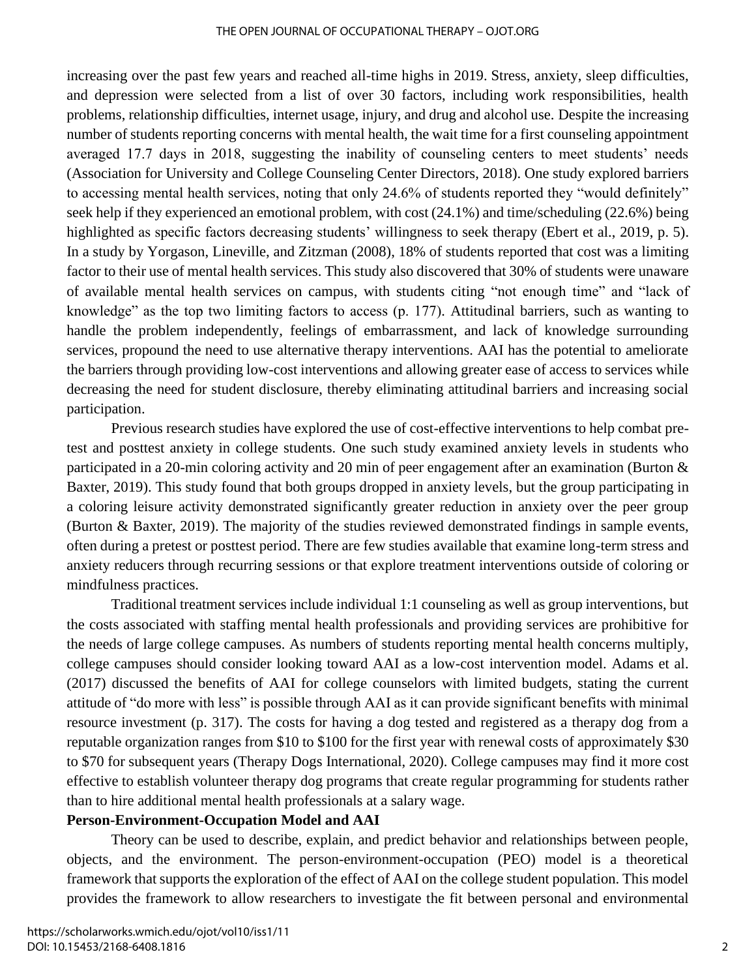increasing over the past few years and reached all-time highs in 2019. Stress, anxiety, sleep difficulties, and depression were selected from a list of over 30 factors, including work responsibilities, health problems, relationship difficulties, internet usage, injury, and drug and alcohol use. Despite the increasing number of students reporting concerns with mental health, the wait time for a first counseling appointment averaged 17.7 days in 2018, suggesting the inability of counseling centers to meet students' needs (Association for University and College Counseling Center Directors, 2018). One study explored barriers to accessing mental health services, noting that only 24.6% of students reported they "would definitely" seek help if they experienced an emotional problem, with cost (24.1%) and time/scheduling (22.6%) being highlighted as specific factors decreasing students' willingness to seek therapy (Ebert et al., 2019, p. 5). In a study by Yorgason, Lineville, and Zitzman (2008), 18% of students reported that cost was a limiting factor to their use of mental health services. This study also discovered that 30% of students were unaware of available mental health services on campus, with students citing "not enough time" and "lack of knowledge" as the top two limiting factors to access (p. 177)*.* Attitudinal barriers, such as wanting to handle the problem independently, feelings of embarrassment, and lack of knowledge surrounding services, propound the need to use alternative therapy interventions. AAI has the potential to ameliorate the barriers through providing low-cost interventions and allowing greater ease of access to services while decreasing the need for student disclosure, thereby eliminating attitudinal barriers and increasing social participation.

Previous research studies have explored the use of cost-effective interventions to help combat pretest and posttest anxiety in college students. One such study examined anxiety levels in students who participated in a 20-min coloring activity and 20 min of peer engagement after an examination (Burton & Baxter, 2019). This study found that both groups dropped in anxiety levels, but the group participating in a coloring leisure activity demonstrated significantly greater reduction in anxiety over the peer group (Burton & Baxter, 2019). The majority of the studies reviewed demonstrated findings in sample events, often during a pretest or posttest period. There are few studies available that examine long-term stress and anxiety reducers through recurring sessions or that explore treatment interventions outside of coloring or mindfulness practices.

Traditional treatment services include individual 1:1 counseling as well as group interventions, but the costs associated with staffing mental health professionals and providing services are prohibitive for the needs of large college campuses. As numbers of students reporting mental health concerns multiply, college campuses should consider looking toward AAI as a low-cost intervention model. Adams et al. (2017) discussed the benefits of AAI for college counselors with limited budgets, stating the current attitude of "do more with less" is possible through AAI as it can provide significant benefits with minimal resource investment (p. 317). The costs for having a dog tested and registered as a therapy dog from a reputable organization ranges from \$10 to \$100 for the first year with renewal costs of approximately \$30 to \$70 for subsequent years (Therapy Dogs International, 2020). College campuses may find it more cost effective to establish volunteer therapy dog programs that create regular programming for students rather than to hire additional mental health professionals at a salary wage.

#### **Person-Environment-Occupation Model and AAI**

Theory can be used to describe, explain, and predict behavior and relationships between people, objects, and the environment. The person-environment-occupation (PEO) model is a theoretical framework that supports the exploration of the effect of AAI on the college student population. This model provides the framework to allow researchers to investigate the fit between personal and environmental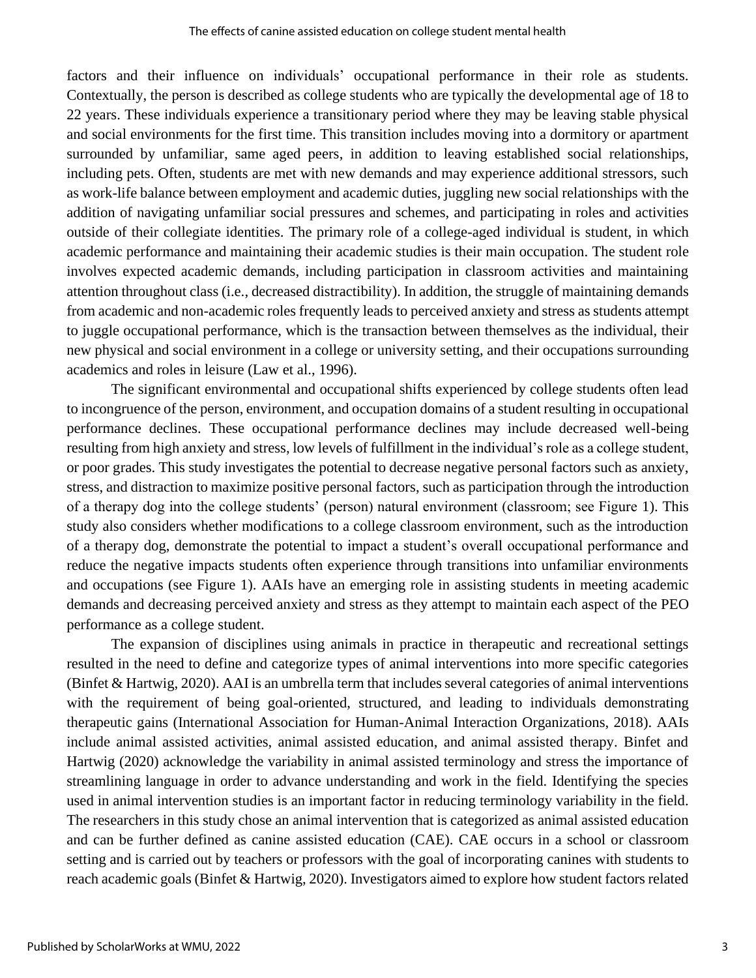factors and their influence on individuals' occupational performance in their role as students. Contextually, the person is described as college students who are typically the developmental age of 18 to 22 years. These individuals experience a transitionary period where they may be leaving stable physical and social environments for the first time. This transition includes moving into a dormitory or apartment surrounded by unfamiliar, same aged peers, in addition to leaving established social relationships, including pets. Often, students are met with new demands and may experience additional stressors, such as work-life balance between employment and academic duties, juggling new social relationships with the addition of navigating unfamiliar social pressures and schemes, and participating in roles and activities outside of their collegiate identities. The primary role of a college-aged individual is student, in which academic performance and maintaining their academic studies is their main occupation. The student role involves expected academic demands, including participation in classroom activities and maintaining attention throughout class (i.e., decreased distractibility). In addition, the struggle of maintaining demands from academic and non-academic roles frequently leads to perceived anxiety and stress as students attempt to juggle occupational performance, which is the transaction between themselves as the individual, their new physical and social environment in a college or university setting, and their occupations surrounding academics and roles in leisure (Law et al., 1996).

The significant environmental and occupational shifts experienced by college students often lead to incongruence of the person, environment, and occupation domains of a student resulting in occupational performance declines. These occupational performance declines may include decreased well-being resulting from high anxiety and stress, low levels of fulfillment in the individual's role as a college student, or poor grades. This study investigates the potential to decrease negative personal factors such as anxiety, stress, and distraction to maximize positive personal factors, such as participation through the introduction of a therapy dog into the college students' (person) natural environment (classroom; see Figure 1). This study also considers whether modifications to a college classroom environment, such as the introduction of a therapy dog, demonstrate the potential to impact a student's overall occupational performance and reduce the negative impacts students often experience through transitions into unfamiliar environments and occupations (see Figure 1). AAIs have an emerging role in assisting students in meeting academic demands and decreasing perceived anxiety and stress as they attempt to maintain each aspect of the PEO performance as a college student.

The expansion of disciplines using animals in practice in therapeutic and recreational settings resulted in the need to define and categorize types of animal interventions into more specific categories (Binfet & Hartwig, 2020). AAI is an umbrella term that includes several categories of animal interventions with the requirement of being goal-oriented, structured, and leading to individuals demonstrating therapeutic gains (International Association for Human-Animal Interaction Organizations, 2018). AAIs include animal assisted activities, animal assisted education, and animal assisted therapy. Binfet and Hartwig (2020) acknowledge the variability in animal assisted terminology and stress the importance of streamlining language in order to advance understanding and work in the field. Identifying the species used in animal intervention studies is an important factor in reducing terminology variability in the field. The researchers in this study chose an animal intervention that is categorized as animal assisted education and can be further defined as canine assisted education (CAE). CAE occurs in a school or classroom setting and is carried out by teachers or professors with the goal of incorporating canines with students to reach academic goals (Binfet & Hartwig, 2020). Investigators aimed to explore how student factors related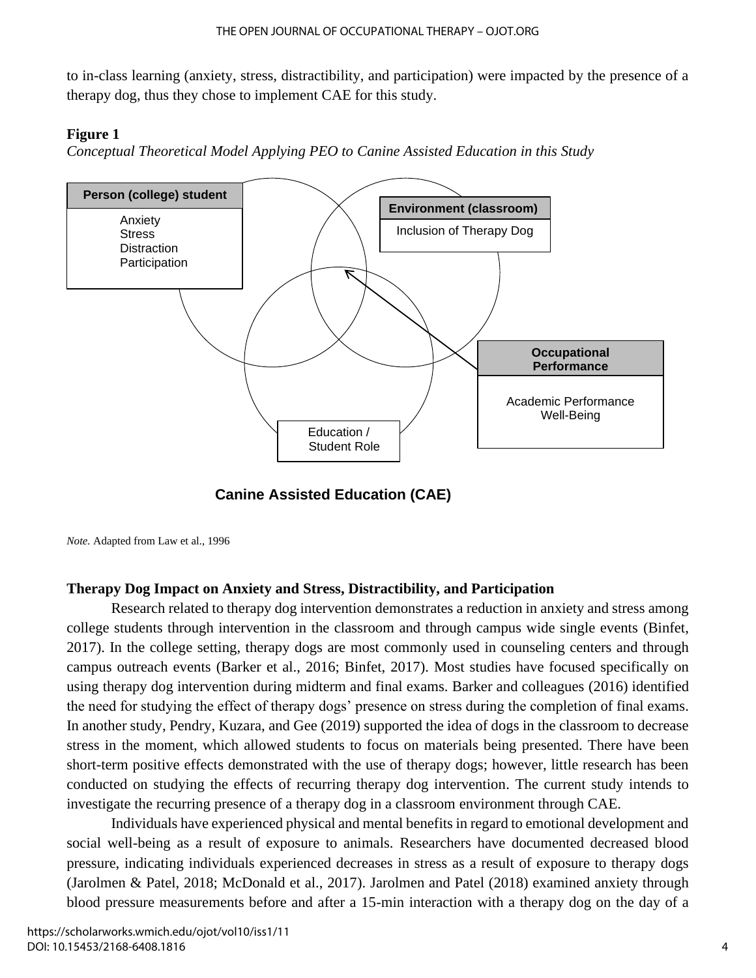to in-class learning (anxiety, stress, distractibility, and participation) were impacted by the presence of a therapy dog, thus they chose to implement CAE for this study.

## **Figure 1**

*Conceptual Theoretical Model Applying PEO to Canine Assisted Education in this Study*



**Canine Assisted Education (CAE)**

*Note.* Adapted from Law et al., 1996

# **Therapy Dog Impact on Anxiety and Stress, Distractibility, and Participation**

Research related to therapy dog intervention demonstrates a reduction in anxiety and stress among college students through intervention in the classroom and through campus wide single events (Binfet, 2017). In the college setting, therapy dogs are most commonly used in counseling centers and through campus outreach events (Barker et al., 2016; Binfet, 2017). Most studies have focused specifically on using therapy dog intervention during midterm and final exams. Barker and colleagues (2016) identified the need for studying the effect of therapy dogs' presence on stress during the completion of final exams. In another study, Pendry, Kuzara, and Gee (2019) supported the idea of dogs in the classroom to decrease stress in the moment, which allowed students to focus on materials being presented. There have been short-term positive effects demonstrated with the use of therapy dogs; however, little research has been conducted on studying the effects of recurring therapy dog intervention. The current study intends to investigate the recurring presence of a therapy dog in a classroom environment through CAE.

Individuals have experienced physical and mental benefits in regard to emotional development and social well-being as a result of exposure to animals. Researchers have documented decreased blood pressure, indicating individuals experienced decreases in stress as a result of exposure to therapy dogs (Jarolmen & Patel, 2018; McDonald et al., 2017). Jarolmen and Patel (2018) examined anxiety through blood pressure measurements before and after a 15-min interaction with a therapy dog on the day of a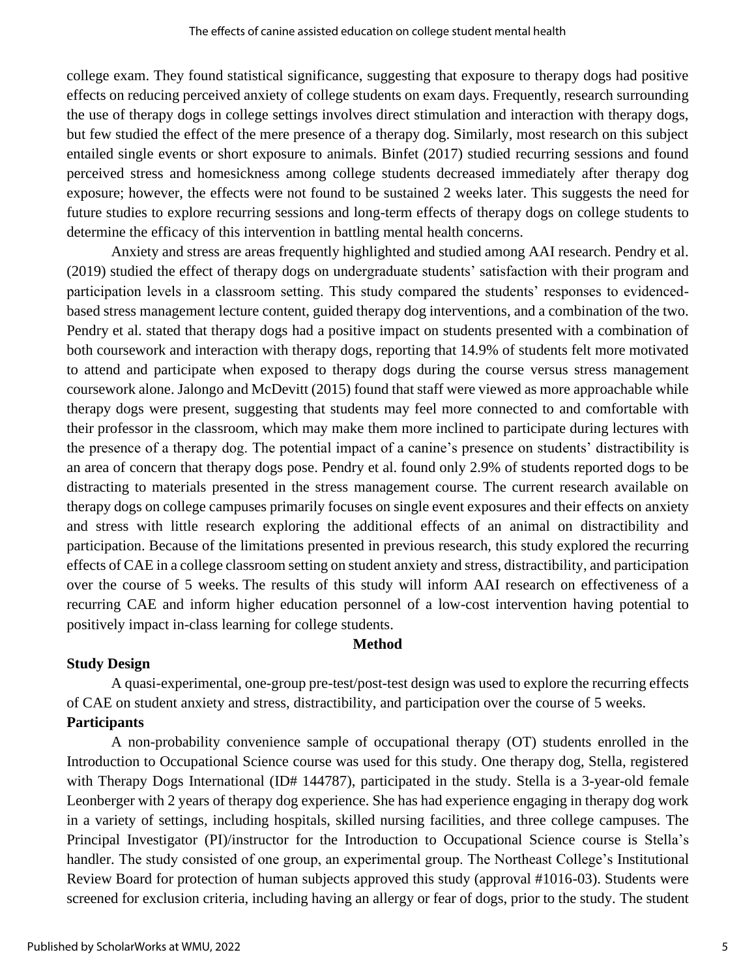college exam. They found statistical significance, suggesting that exposure to therapy dogs had positive effects on reducing perceived anxiety of college students on exam days. Frequently, research surrounding the use of therapy dogs in college settings involves direct stimulation and interaction with therapy dogs, but few studied the effect of the mere presence of a therapy dog. Similarly, most research on this subject entailed single events or short exposure to animals. Binfet (2017) studied recurring sessions and found perceived stress and homesickness among college students decreased immediately after therapy dog exposure; however, the effects were not found to be sustained 2 weeks later. This suggests the need for future studies to explore recurring sessions and long-term effects of therapy dogs on college students to determine the efficacy of this intervention in battling mental health concerns.

Anxiety and stress are areas frequently highlighted and studied among AAI research. Pendry et al. (2019) studied the effect of therapy dogs on undergraduate students' satisfaction with their program and participation levels in a classroom setting. This study compared the students' responses to evidencedbased stress management lecture content, guided therapy dog interventions, and a combination of the two. Pendry et al. stated that therapy dogs had a positive impact on students presented with a combination of both coursework and interaction with therapy dogs, reporting that 14.9% of students felt more motivated to attend and participate when exposed to therapy dogs during the course versus stress management coursework alone. Jalongo and McDevitt (2015) found that staff were viewed as more approachable while therapy dogs were present, suggesting that students may feel more connected to and comfortable with their professor in the classroom, which may make them more inclined to participate during lectures with the presence of a therapy dog. The potential impact of a canine's presence on students' distractibility is an area of concern that therapy dogs pose. Pendry et al. found only 2.9% of students reported dogs to be distracting to materials presented in the stress management course. The current research available on therapy dogs on college campuses primarily focuses on single event exposures and their effects on anxiety and stress with little research exploring the additional effects of an animal on distractibility and participation. Because of the limitations presented in previous research, this study explored the recurring effects of CAE in a college classroom setting on student anxiety and stress, distractibility, and participation over the course of 5 weeks. The results of this study will inform AAI research on effectiveness of a recurring CAE and inform higher education personnel of a low-cost intervention having potential to positively impact in-class learning for college students.

# **Method**

# **Study Design**

A quasi-experimental, one-group pre-test/post-test design was used to explore the recurring effects of CAE on student anxiety and stress, distractibility, and participation over the course of 5 weeks. **Participants**

A non-probability convenience sample of occupational therapy (OT) students enrolled in the Introduction to Occupational Science course was used for this study. One therapy dog, Stella, registered with Therapy Dogs International (ID# 144787), participated in the study. Stella is a 3-year-old female Leonberger with 2 years of therapy dog experience. She has had experience engaging in therapy dog work in a variety of settings, including hospitals, skilled nursing facilities, and three college campuses. The Principal Investigator (PI)/instructor for the Introduction to Occupational Science course is Stella's handler. The study consisted of one group, an experimental group. The Northeast College's Institutional Review Board for protection of human subjects approved this study (approval #1016-03). Students were screened for exclusion criteria, including having an allergy or fear of dogs, prior to the study. The student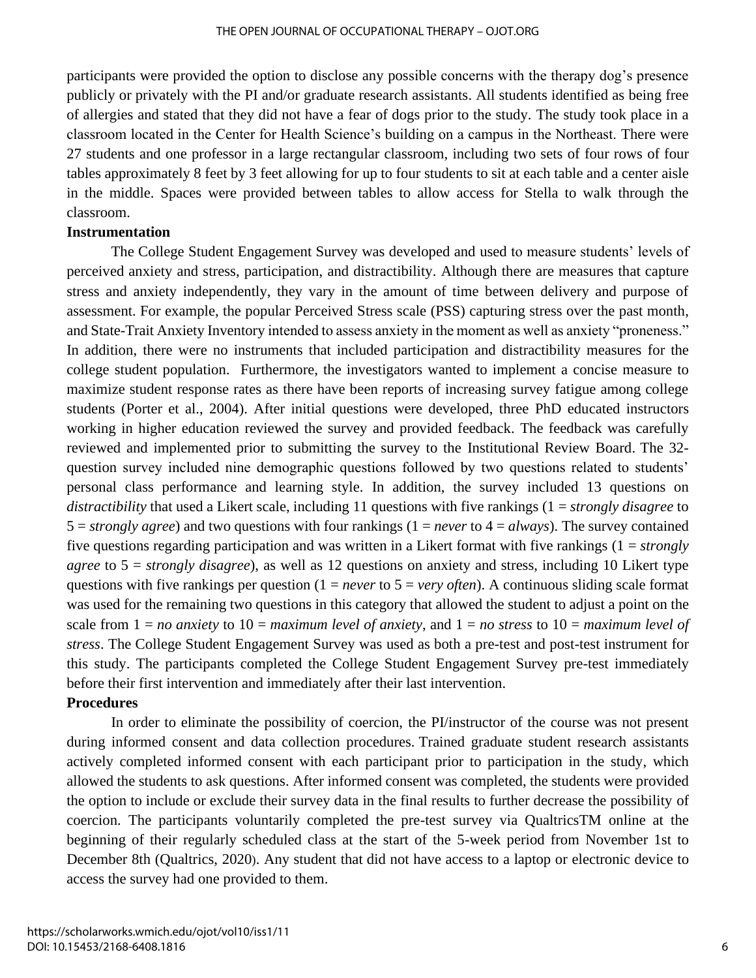participants were provided the option to disclose any possible concerns with the therapy dog's presence publicly or privately with the PI and/or graduate research assistants. All students identified as being free of allergies and stated that they did not have a fear of dogs prior to the study. The study took place in a classroom located in the Center for Health Science's building on a campus in the Northeast. There were 27 students and one professor in a large rectangular classroom, including two sets of four rows of four tables approximately 8 feet by 3 feet allowing for up to four students to sit at each table and a center aisle in the middle. Spaces were provided between tables to allow access for Stella to walk through the classroom.

# **Instrumentation**

The College Student Engagement Survey was developed and used to measure students' levels of perceived anxiety and stress, participation, and distractibility. Although there are measures that capture stress and anxiety independently, they vary in the amount of time between delivery and purpose of assessment. For example, the popular Perceived Stress scale (PSS) capturing stress over the past month, and State-Trait Anxiety Inventory intended to assess anxiety in the moment as well as anxiety "proneness." In addition, there were no instruments that included participation and distractibility measures for the college student population. Furthermore, the investigators wanted to implement a concise measure to maximize student response rates as there have been reports of increasing survey fatigue among college students (Porter et al., 2004). After initial questions were developed, three PhD educated instructors working in higher education reviewed the survey and provided feedback. The feedback was carefully reviewed and implemented prior to submitting the survey to the Institutional Review Board. The 32 question survey included nine demographic questions followed by two questions related to students' personal class performance and learning style. In addition, the survey included 13 questions on *distractibility* that used a Likert scale, including 11 questions with five rankings (1 = *strongly disagree* to  $5 =$ *strongly agree*) and two questions with four rankings  $(1 = never to 4 = always)$ . The survey contained five questions regarding participation and was written in a Likert format with five rankings (1 = *strongly agree* to 5 = *strongly disagree*), as well as 12 questions on anxiety and stress, including 10 Likert type questions with five rankings per question  $(1 = never to 5 = very often)$ . A continuous sliding scale format was used for the remaining two questions in this category that allowed the student to adjust a point on the scale from 1 = *no anxiety* to 10 = *maximum level of anxiety*, and 1 = *no stress* to 10 = *maximum level of stress*. The College Student Engagement Survey was used as both a pre-test and post-test instrument for this study. The participants completed the College Student Engagement Survey pre-test immediately before their first intervention and immediately after their last intervention.

# **Procedures**

In order to eliminate the possibility of coercion, the PI/instructor of the course was not present during informed consent and data collection procedures. Trained graduate student research assistants actively completed informed consent with each participant prior to participation in the study, which allowed the students to ask questions. After informed consent was completed, the students were provided the option to include or exclude their survey data in the final results to further decrease the possibility of coercion. The participants voluntarily completed the pre-test survey via QualtricsTM online at the beginning of their regularly scheduled class at the start of the 5-week period from November 1st to December 8th (Qualtrics, 2020). Any student that did not have access to a laptop or electronic device to access the survey had one provided to them.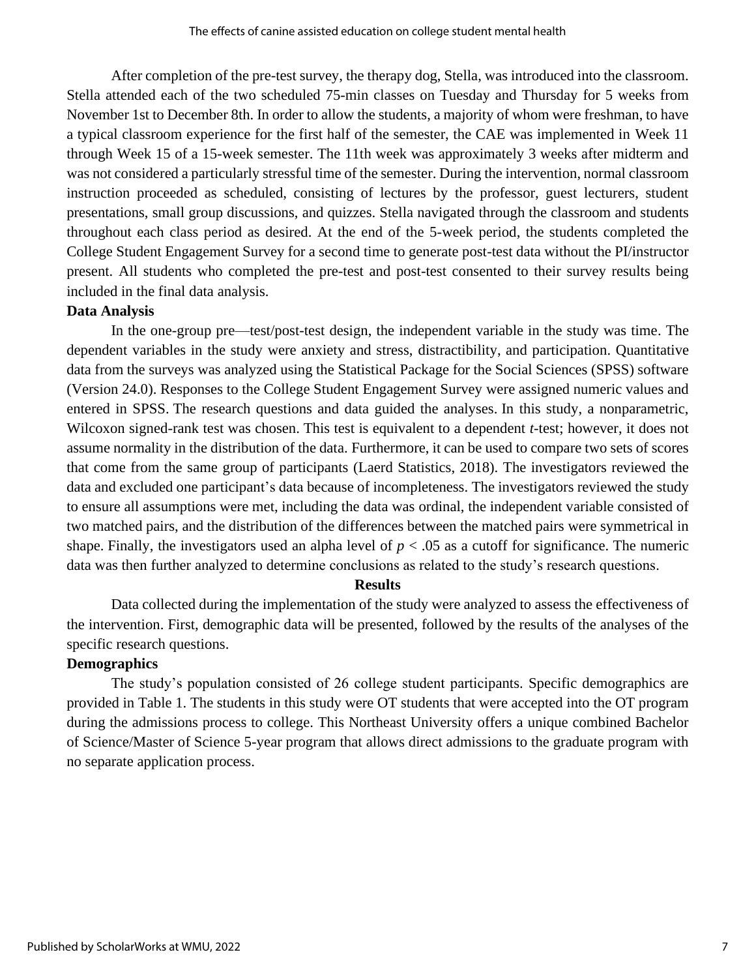After completion of the pre-test survey, the therapy dog, Stella, was introduced into the classroom. Stella attended each of the two scheduled 75-min classes on Tuesday and Thursday for 5 weeks from November 1st to December 8th. In order to allow the students, a majority of whom were freshman, to have a typical classroom experience for the first half of the semester, the CAE was implemented in Week 11 through Week 15 of a 15-week semester. The 11th week was approximately 3 weeks after midterm and was not considered a particularly stressful time of the semester. During the intervention, normal classroom instruction proceeded as scheduled, consisting of lectures by the professor, guest lecturers, student presentations, small group discussions, and quizzes. Stella navigated through the classroom and students throughout each class period as desired. At the end of the 5-week period, the students completed the College Student Engagement Survey for a second time to generate post-test data without the PI/instructor present. All students who completed the pre-test and post-test consented to their survey results being included in the final data analysis.

#### **Data Analysis**

In the one-group pre—test/post-test design, the independent variable in the study was time. The dependent variables in the study were anxiety and stress, distractibility, and participation. Quantitative data from the surveys was analyzed using the Statistical Package for the Social Sciences (SPSS) software (Version 24.0). Responses to the College Student Engagement Survey were assigned numeric values and entered in SPSS. The research questions and data guided the analyses. In this study, a nonparametric, Wilcoxon signed-rank test was chosen. This test is equivalent to a dependent *t*-test; however, it does not assume normality in the distribution of the data. Furthermore, it can be used to compare two sets of scores that come from the same group of participants (Laerd Statistics, 2018). The investigators reviewed the data and excluded one participant's data because of incompleteness. The investigators reviewed the study to ensure all assumptions were met, including the data was ordinal, the independent variable consisted of two matched pairs, and the distribution of the differences between the matched pairs were symmetrical in shape. Finally, the investigators used an alpha level of  $p < .05$  as a cutoff for significance. The numeric data was then further analyzed to determine conclusions as related to the study's research questions.

#### **Results**

Data collected during the implementation of the study were analyzed to assess the effectiveness of the intervention. First, demographic data will be presented, followed by the results of the analyses of the specific research questions.

#### **Demographics**

The study's population consisted of 26 college student participants. Specific demographics are provided in Table 1. The students in this study were OT students that were accepted into the OT program during the admissions process to college. This Northeast University offers a unique combined Bachelor of Science/Master of Science 5-year program that allows direct admissions to the graduate program with no separate application process.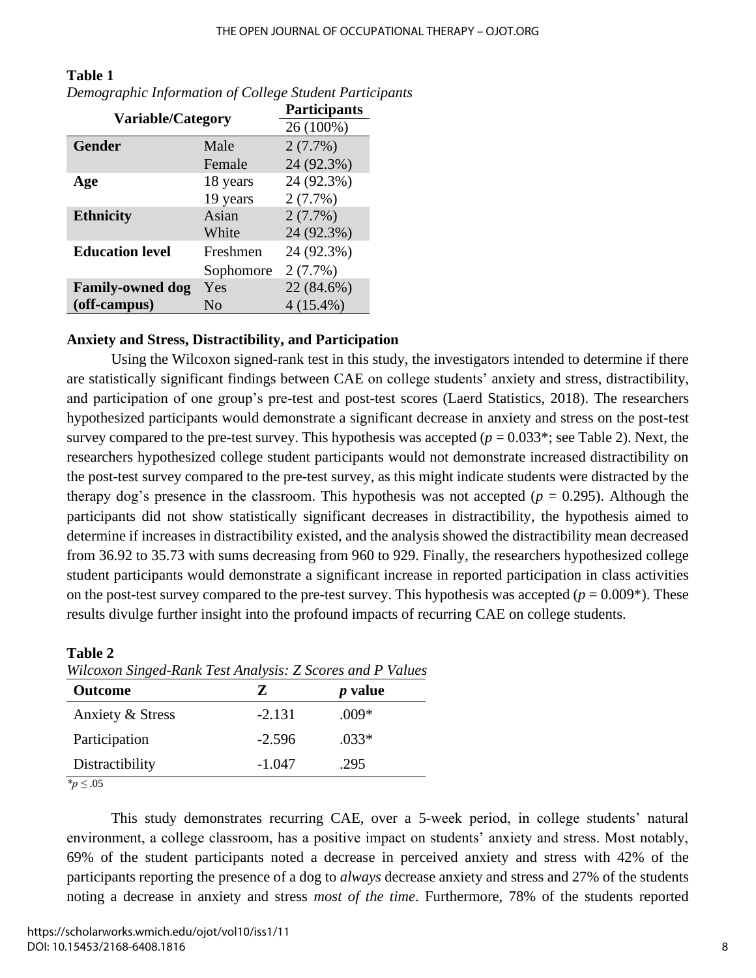| <b>Variable/Category</b> |           | Participants |
|--------------------------|-----------|--------------|
|                          |           | 26 (100%)    |
| <b>Gender</b>            | Male      | $2(7.7\%)$   |
|                          | Female    | 24 (92.3%)   |
| Age                      | 18 years  | 24 (92.3%)   |
|                          | 19 years  | $2(7.7\%)$   |
| <b>Ethnicity</b>         | Asian     | $2(7.7\%)$   |
|                          | White     | 24 (92.3%)   |
| <b>Education level</b>   | Freshmen  | 24 (92.3%)   |
|                          | Sophomore | $2(7.7\%)$   |
| <b>Family-owned dog</b>  | Yes       | 22 (84.6%)   |
| (off-campus)             | No        | $4(15.4\%)$  |

# **Table 1** *Demographic Information of College Student Participants*

# **Anxiety and Stress, Distractibility, and Participation**

Using the Wilcoxon signed-rank test in this study, the investigators intended to determine if there are statistically significant findings between CAE on college students' anxiety and stress, distractibility, and participation of one group's pre-test and post-test scores (Laerd Statistics, 2018). The researchers hypothesized participants would demonstrate a significant decrease in anxiety and stress on the post-test survey compared to the pre-test survey. This hypothesis was accepted  $(p = 0.033^*;$  see Table 2). Next, the researchers hypothesized college student participants would not demonstrate increased distractibility on the post-test survey compared to the pre-test survey, as this might indicate students were distracted by the therapy dog's presence in the classroom. This hypothesis was not accepted ( $p = 0.295$ ). Although the participants did not show statistically significant decreases in distractibility, the hypothesis aimed to determine if increases in distractibility existed, and the analysis showed the distractibility mean decreased from 36.92 to 35.73 with sums decreasing from 960 to 929. Finally, the researchers hypothesized college student participants would demonstrate a significant increase in reported participation in class activities on the post-test survey compared to the pre-test survey. This hypothesis was accepted ( $p = 0.009^*$ ). These results divulge further insight into the profound impacts of recurring CAE on college students.

# **Table 2** *Wilcoxon Singed-Rank Test Analysis: Z Scores and P Values*

| <b>Outcome</b>   |          | <i>p</i> value |  |
|------------------|----------|----------------|--|
| Anxiety & Stress | $-2.131$ | $.009*$        |  |
| Participation    | $-2.596$ | $.033*$        |  |
| Distractibility  | $-1.047$ | .295           |  |

*\*p ≤* .05

This study demonstrates recurring CAE, over a 5-week period, in college students' natural environment, a college classroom, has a positive impact on students' anxiety and stress. Most notably, 69% of the student participants noted a decrease in perceived anxiety and stress with 42% of the participants reporting the presence of a dog to *always* decrease anxiety and stress and 27% of the students noting a decrease in anxiety and stress *most of the time*. Furthermore, 78% of the students reported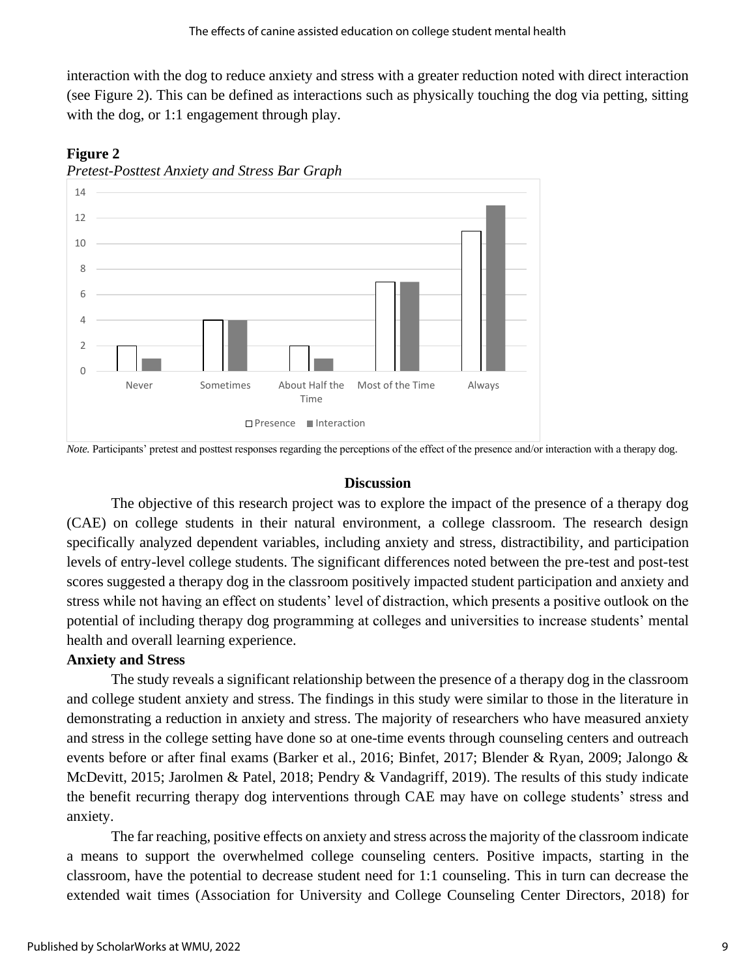interaction with the dog to reduce anxiety and stress with a greater reduction noted with direct interaction (see Figure 2). This can be defined as interactions such as physically touching the dog via petting, sitting with the dog, or 1:1 engagement through play.



# **Figure 2**

*Note.* Participants' pretest and posttest responses regarding the perceptions of the effect of the presence and/or interaction with a therapy dog.

# **Discussion**

The objective of this research project was to explore the impact of the presence of a therapy dog (CAE) on college students in their natural environment, a college classroom. The research design specifically analyzed dependent variables, including anxiety and stress, distractibility, and participation levels of entry-level college students. The significant differences noted between the pre-test and post-test scores suggested a therapy dog in the classroom positively impacted student participation and anxiety and stress while not having an effect on students' level of distraction, which presents a positive outlook on the potential of including therapy dog programming at colleges and universities to increase students' mental health and overall learning experience.

# **Anxiety and Stress**

The study reveals a significant relationship between the presence of a therapy dog in the classroom and college student anxiety and stress. The findings in this study were similar to those in the literature in demonstrating a reduction in anxiety and stress. The majority of researchers who have measured anxiety and stress in the college setting have done so at one-time events through counseling centers and outreach events before or after final exams (Barker et al., 2016; Binfet, 2017; Blender & Ryan, 2009; Jalongo & McDevitt, 2015; Jarolmen & Patel, 2018; Pendry & Vandagriff, 2019). The results of this study indicate the benefit recurring therapy dog interventions through CAE may have on college students' stress and anxiety.

The far reaching, positive effects on anxiety and stress across the majority of the classroom indicate a means to support the overwhelmed college counseling centers. Positive impacts, starting in the classroom, have the potential to decrease student need for 1:1 counseling. This in turn can decrease the extended wait times (Association for University and College Counseling Center Directors, 2018) for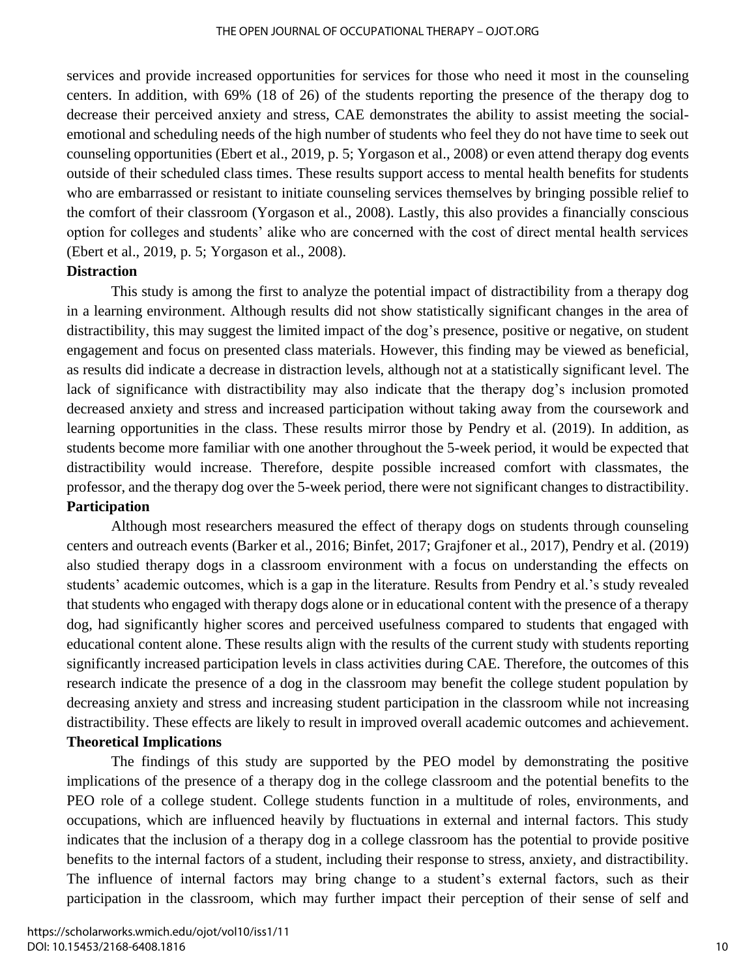services and provide increased opportunities for services for those who need it most in the counseling centers. In addition, with 69% (18 of 26) of the students reporting the presence of the therapy dog to decrease their perceived anxiety and stress, CAE demonstrates the ability to assist meeting the socialemotional and scheduling needs of the high number of students who feel they do not have time to seek out counseling opportunities (Ebert et al., 2019, p. 5; Yorgason et al., 2008) or even attend therapy dog events outside of their scheduled class times. These results support access to mental health benefits for students who are embarrassed or resistant to initiate counseling services themselves by bringing possible relief to the comfort of their classroom (Yorgason et al., 2008). Lastly, this also provides a financially conscious option for colleges and students' alike who are concerned with the cost of direct mental health services (Ebert et al., 2019, p. 5; Yorgason et al., 2008).

#### **Distraction**

This study is among the first to analyze the potential impact of distractibility from a therapy dog in a learning environment. Although results did not show statistically significant changes in the area of distractibility, this may suggest the limited impact of the dog's presence, positive or negative, on student engagement and focus on presented class materials. However, this finding may be viewed as beneficial, as results did indicate a decrease in distraction levels, although not at a statistically significant level. The lack of significance with distractibility may also indicate that the therapy dog's inclusion promoted decreased anxiety and stress and increased participation without taking away from the coursework and learning opportunities in the class. These results mirror those by Pendry et al. (2019). In addition, as students become more familiar with one another throughout the 5-week period, it would be expected that distractibility would increase. Therefore, despite possible increased comfort with classmates, the professor, and the therapy dog over the 5-week period, there were not significant changes to distractibility. **Participation**

Although most researchers measured the effect of therapy dogs on students through counseling centers and outreach events (Barker et al., 2016; Binfet, 2017; Grajfoner et al., 2017), Pendry et al. (2019) also studied therapy dogs in a classroom environment with a focus on understanding the effects on students' academic outcomes, which is a gap in the literature. Results from Pendry et al.'s study revealed that students who engaged with therapy dogs alone or in educational content with the presence of a therapy dog, had significantly higher scores and perceived usefulness compared to students that engaged with educational content alone. These results align with the results of the current study with students reporting significantly increased participation levels in class activities during CAE. Therefore, the outcomes of this research indicate the presence of a dog in the classroom may benefit the college student population by decreasing anxiety and stress and increasing student participation in the classroom while not increasing distractibility. These effects are likely to result in improved overall academic outcomes and achievement. **Theoretical Implications** 

The findings of this study are supported by the PEO model by demonstrating the positive implications of the presence of a therapy dog in the college classroom and the potential benefits to the PEO role of a college student. College students function in a multitude of roles, environments, and occupations, which are influenced heavily by fluctuations in external and internal factors. This study indicates that the inclusion of a therapy dog in a college classroom has the potential to provide positive benefits to the internal factors of a student, including their response to stress, anxiety, and distractibility. The influence of internal factors may bring change to a student's external factors, such as their participation in the classroom, which may further impact their perception of their sense of self and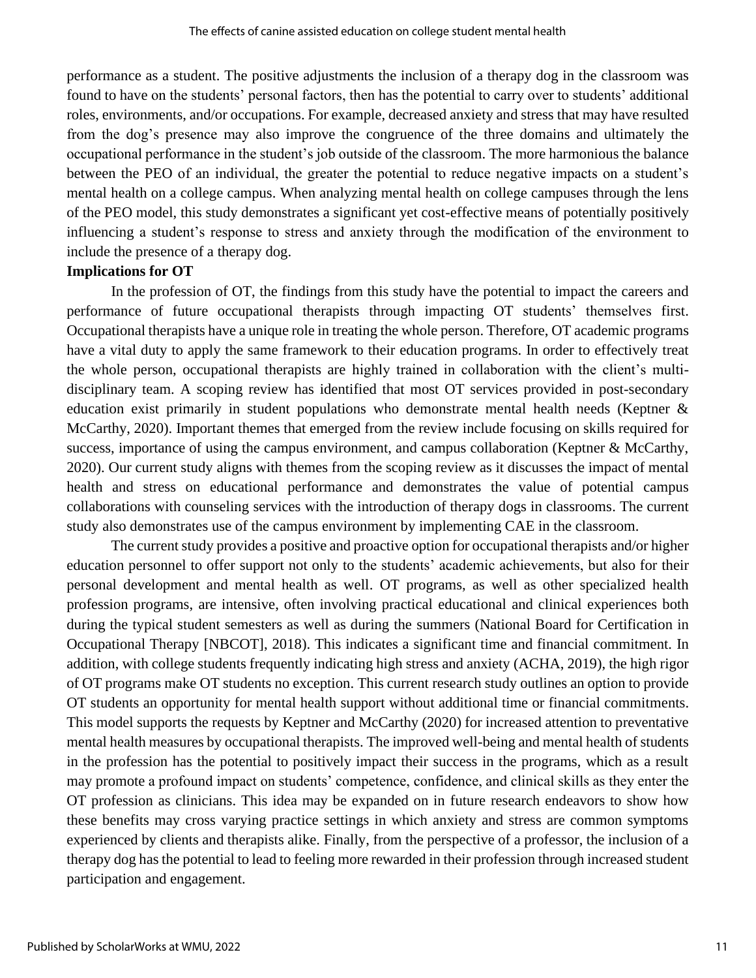performance as a student. The positive adjustments the inclusion of a therapy dog in the classroom was found to have on the students' personal factors, then has the potential to carry over to students' additional roles, environments, and/or occupations. For example, decreased anxiety and stress that may have resulted from the dog's presence may also improve the congruence of the three domains and ultimately the occupational performance in the student's job outside of the classroom. The more harmonious the balance between the PEO of an individual, the greater the potential to reduce negative impacts on a student's mental health on a college campus. When analyzing mental health on college campuses through the lens of the PEO model, this study demonstrates a significant yet cost-effective means of potentially positively influencing a student's response to stress and anxiety through the modification of the environment to include the presence of a therapy dog.

## **Implications for OT**

In the profession of OT, the findings from this study have the potential to impact the careers and performance of future occupational therapists through impacting OT students' themselves first. Occupational therapists have a unique role in treating the whole person. Therefore, OT academic programs have a vital duty to apply the same framework to their education programs. In order to effectively treat the whole person, occupational therapists are highly trained in collaboration with the client's multidisciplinary team. A scoping review has identified that most OT services provided in post-secondary education exist primarily in student populations who demonstrate mental health needs (Keptner & McCarthy, 2020). Important themes that emerged from the review include focusing on skills required for success, importance of using the campus environment, and campus collaboration (Keptner & McCarthy, 2020). Our current study aligns with themes from the scoping review as it discusses the impact of mental health and stress on educational performance and demonstrates the value of potential campus collaborations with counseling services with the introduction of therapy dogs in classrooms. The current study also demonstrates use of the campus environment by implementing CAE in the classroom.

The current study provides a positive and proactive option for occupational therapists and/or higher education personnel to offer support not only to the students' academic achievements, but also for their personal development and mental health as well. OT programs, as well as other specialized health profession programs, are intensive, often involving practical educational and clinical experiences both during the typical student semesters as well as during the summers (National Board for Certification in Occupational Therapy [NBCOT], 2018). This indicates a significant time and financial commitment. In addition, with college students frequently indicating high stress and anxiety (ACHA, 2019), the high rigor of OT programs make OT students no exception. This current research study outlines an option to provide OT students an opportunity for mental health support without additional time or financial commitments. This model supports the requests by Keptner and McCarthy (2020) for increased attention to preventative mental health measures by occupational therapists. The improved well-being and mental health of students in the profession has the potential to positively impact their success in the programs, which as a result may promote a profound impact on students' competence, confidence, and clinical skills as they enter the OT profession as clinicians. This idea may be expanded on in future research endeavors to show how these benefits may cross varying practice settings in which anxiety and stress are common symptoms experienced by clients and therapists alike. Finally, from the perspective of a professor, the inclusion of a therapy dog has the potential to lead to feeling more rewarded in their profession through increased student participation and engagement.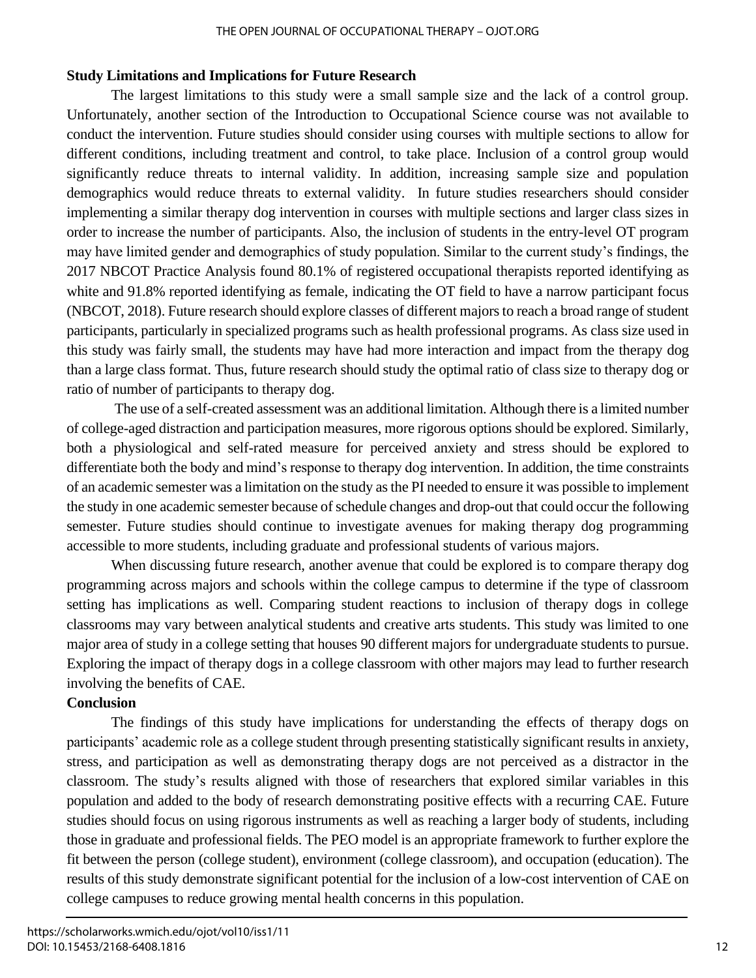#### THE OPEN JOURNAL OF OCCUPATIONAL THERAPY – OJOT.ORG

# **Study Limitations and Implications for Future Research**

The largest limitations to this study were a small sample size and the lack of a control group. Unfortunately, another section of the Introduction to Occupational Science course was not available to conduct the intervention. Future studies should consider using courses with multiple sections to allow for different conditions, including treatment and control, to take place. Inclusion of a control group would significantly reduce threats to internal validity. In addition, increasing sample size and population demographics would reduce threats to external validity. In future studies researchers should consider implementing a similar therapy dog intervention in courses with multiple sections and larger class sizes in order to increase the number of participants. Also, the inclusion of students in the entry-level OT program may have limited gender and demographics of study population. Similar to the current study's findings, the 2017 NBCOT Practice Analysis found 80.1% of registered occupational therapists reported identifying as white and 91.8% reported identifying as female, indicating the OT field to have a narrow participant focus (NBCOT, 2018). Future research should explore classes of different majors to reach a broad range of student participants, particularly in specialized programs such as health professional programs. As class size used in this study was fairly small, the students may have had more interaction and impact from the therapy dog than a large class format. Thus, future research should study the optimal ratio of class size to therapy dog or ratio of number of participants to therapy dog.

The use of a self-created assessment was an additional limitation. Although there is a limited number of college-aged distraction and participation measures, more rigorous options should be explored. Similarly, both a physiological and self-rated measure for perceived anxiety and stress should be explored to differentiate both the body and mind's response to therapy dog intervention. In addition, the time constraints of an academic semester was a limitation on the study as the PI needed to ensure it was possible to implement the study in one academic semester because of schedule changes and drop-out that could occur the following semester. Future studies should continue to investigate avenues for making therapy dog programming accessible to more students, including graduate and professional students of various majors.

When discussing future research, another avenue that could be explored is to compare therapy dog programming across majors and schools within the college campus to determine if the type of classroom setting has implications as well. Comparing student reactions to inclusion of therapy dogs in college classrooms may vary between analytical students and creative arts students. This study was limited to one major area of study in a college setting that houses 90 different majors for undergraduate students to pursue. Exploring the impact of therapy dogs in a college classroom with other majors may lead to further research involving the benefits of CAE.

# **Conclusion**

The findings of this study have implications for understanding the effects of therapy dogs on participants' academic role as a college student through presenting statistically significant results in anxiety, stress, and participation as well as demonstrating therapy dogs are not perceived as a distractor in the classroom. The study's results aligned with those of researchers that explored similar variables in this population and added to the body of research demonstrating positive effects with a recurring CAE. Future studies should focus on using rigorous instruments as well as reaching a larger body of students, including those in graduate and professional fields. The PEO model is an appropriate framework to further explore the fit between the person (college student), environment (college classroom), and occupation (education). The results of this study demonstrate significant potential for the inclusion of a low-cost intervention of CAE on college campuses to reduce growing mental health concerns in this population.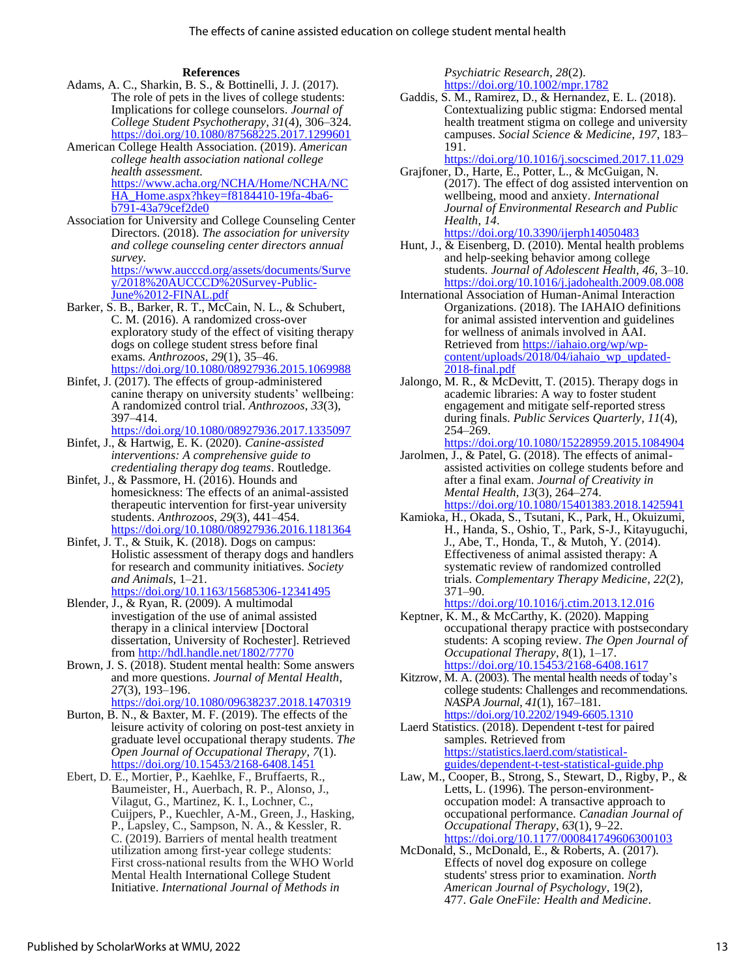#### **References**

- Adams, A. C., Sharkin, B. S., & Bottinelli, J. J. (2017). The role of pets in the lives of college students: Implications for college counselors. *Journal of College Student Psychotherapy*, *31*(4), 306–324. <https://doi.org/10.1080/87568225.2017.1299601>
- American College Health Association. (2019). *American college health association national college health assessment.* [https://www.acha.org/NCHA/Home/NCHA/NC](https://www.acha.org/NCHA/Home/NCHA/NCHA_Home.aspx?hkey=f8184410-19fa-4ba6-b791-43a79cef2de0) [HA\\_Home.aspx?hkey=f8184410-19fa-4ba6](https://www.acha.org/NCHA/Home/NCHA/NCHA_Home.aspx?hkey=f8184410-19fa-4ba6-b791-43a79cef2de0) [b791-43a79cef2de0](https://www.acha.org/NCHA/Home/NCHA/NCHA_Home.aspx?hkey=f8184410-19fa-4ba6-b791-43a79cef2de0)
- Association for University and College Counseling Center Directors. (2018). *The association for university and college counseling center directors annual survey.*  [https://www.aucccd.org/assets/documents/Surve](https://www.aucccd.org/assets/documents/Survey/2018%20AUCCCD%20Survey-Public-June%2012-FINAL.pdf) [y/2018%20AUCCCD%20Survey-Public-](https://www.aucccd.org/assets/documents/Survey/2018%20AUCCCD%20Survey-Public-June%2012-FINAL.pdf)
- [June%2012-FINAL.pdf](https://www.aucccd.org/assets/documents/Survey/2018%20AUCCCD%20Survey-Public-June%2012-FINAL.pdf) Barker, S. B., Barker, R. T., McCain, N. L., & Schubert, C. M. (2016). A randomized cross-over exploratory study of the effect of visiting therapy dogs on college student stress before final exams*. Anthrozoos*, *29*(1), 35–46.
- <https://doi.org/10.1080/08927936.2015.1069988> Binfet, J. (2017). The effects of group-administered canine therapy on university students' wellbeing:
	- A randomized control trial. *Anthrozoos*, *33*(3), 397–414.
	- <https://doi.org/10.1080/08927936.2017.1335097>
- Binfet, J., & Hartwig, E. K. (2020). *Canine-assisted interventions: A comprehensive guide to credentialing therapy dog teams*. Routledge.
- Binfet, J., & Passmore, H. (2016). Hounds and homesickness: The effects of an animal-assisted therapeutic intervention for first-year university students. *Anthrozoos*, *29*(3), 441–454. <https://doi.org/10.1080/08927936.2016.1181364>
- Binfet, J. T., & Stuik, K. (2018). Dogs on campus: Holistic assessment of therapy dogs and handlers for research and community initiatives. *Society and Animals*, 1–21.
- <https://doi.org/10.1163/15685306-12341495>
- Blender, J., & Ryan, R. (2009). A multimodal investigation of the use of animal assisted therapy in a clinical interview [Doctoral dissertation, University of Rochester]. Retrieved from<http://hdl.handle.net/1802/7770>
- Brown, J. S. (2018). Student mental health: Some answers and more questions. *Journal of Mental Health*, *27*(3), 193–196. <https://doi.org/10.1080/09638237.2018.1470319>
- Burton, B. N., & Baxter, M. F. (2019). The effects of the leisure activity of coloring on post-test anxiety in graduate level occupational therapy students. *The Open Journal of Occupational Therapy*, *7*(1). <https://doi.org/10.15453/2168-6408.1451>
- Ebert, D. E., Mortier, P., Kaehlke, F., Bruffaerts, R., Baumeister, H., Auerbach, R. P., Alonso, J., Vilagut, G., Martinez, K. I., Lochner, C., Cuijpers, P., Kuechler, A-M., Green, J., Hasking, P., Lapsley, C., Sampson, N. A., & Kessler, R. C. (2019). Barriers of mental health treatment utilization among first‐year college students: First cross‐national results from the WHO World Mental Health International College Student Initiative. *International Journal of Methods in*

*Psychiatric Research*, *28*(2). <https://doi.org/10.1002/mpr.1782>

- Gaddis, S. M., Ramirez, D., & Hernandez, E. L. (2018). Contextualizing public stigma: Endorsed mental health treatment stigma on college and university campuses. *Social Science & Medicine*, *197*, 183– 191.
	- <https://doi.org/10.1016/j.socscimed.2017.11.029>
- Grajfoner, D., Harte, E., Potter, L., & McGuigan, N. (2017). The effect of dog assisted intervention on wellbeing, mood and anxiety. *International Journal of Environmental Research and Public Health*, *14*. <https://doi.org/10.3390/ijerph14050483>
- Hunt, J., & Eisenberg, D. (2010). Mental health problems and help-seeking behavior among college students. *Journal of Adolescent Health*, *46*, 3–10. <https://doi.org/10.1016/j.jadohealth.2009.08.008>
- International Association of Human-Animal Interaction Organizations. (2018). The IAHAIO definitions for animal assisted intervention and guidelines for wellness of animals involved in AAI. Retrieved from [https://iahaio.org/wp/wp](https://iahaio.org/wp/wp-content/uploads/2018/04/iahaio_wp_updated-2018-final.pdf)[content/uploads/2018/04/iahaio\\_wp\\_updated-](https://iahaio.org/wp/wp-content/uploads/2018/04/iahaio_wp_updated-2018-final.pdf)[2018-final.pdf](https://iahaio.org/wp/wp-content/uploads/2018/04/iahaio_wp_updated-2018-final.pdf)
- Jalongo, M. R., & McDevitt, T. (2015). Therapy dogs in academic libraries: A way to foster student engagement and mitigate self-reported stress during finals. *Public Services Quarterly*, *11*(4), 254–269.
	- <https://doi.org/10.1080/15228959.2015.1084904>
- Jarolmen, J., & Patel, G. (2018). The effects of animalassisted activities on college students before and after a final exam. *Journal of Creativity in Mental Health*, *13*(3), 264–274. <https://doi.org/10.1080/15401383.2018.1425941>
- Kamioka, H., Okada, S., Tsutani, K., Park, H., Okuizumi, H., Handa, S., Oshio, T., Park, S-J., Kitayuguchi, J., Abe, T., Honda, T., & Mutoh, Y. (2014). Effectiveness of animal assisted therapy: A systematic review of randomized controlled trials. *Complementary Therapy Medicine*, *22*(2), 371–90.
- <https://doi.org/10.1016/j.ctim.2013.12.016> Keptner, K. M., & McCarthy, K. (2020). Mapping occupational therapy practice with postsecondary students: A scoping review. *The Open Journal of Occupational Therapy*, *8*(1), 1–17. <https://doi.org/10.15453/2168-6408.1617>
- Kitzrow, M. A. (2003). The mental health needs of today's college students: Challenges and recommendations. *NASPA Journal*, *41*(1), 167–181. <https://doi.org/10.2202/1949-6605.1310>
- Laerd Statistics. (2018). Dependent t-test for paired samples. Retrieved from [https://statistics.laerd.com/statistical](https://statistics.laerd.com/statistical-guides/dependent-t-test-statistical-guide.php)[guides/dependent-t-test-statistical-guide.php](https://statistics.laerd.com/statistical-guides/dependent-t-test-statistical-guide.php)
- Law, M., Cooper, B., Strong, S., Stewart, D., Rigby, P., & Letts, L. (1996). The person-environmentoccupation model: A transactive approach to occupational performance. *Canadian Journal of Occupational Therapy*, *63*(1), 9–22. <https://doi.org/10.1177/000841749606300103>
- McDonald, S., McDonald, E., & Roberts, A. (2017). Effects of novel dog exposure on college students' stress prior to examination. *North American Journal of Psychology*, 19(2), 477. *Gale OneFile: Health and Medicine*.